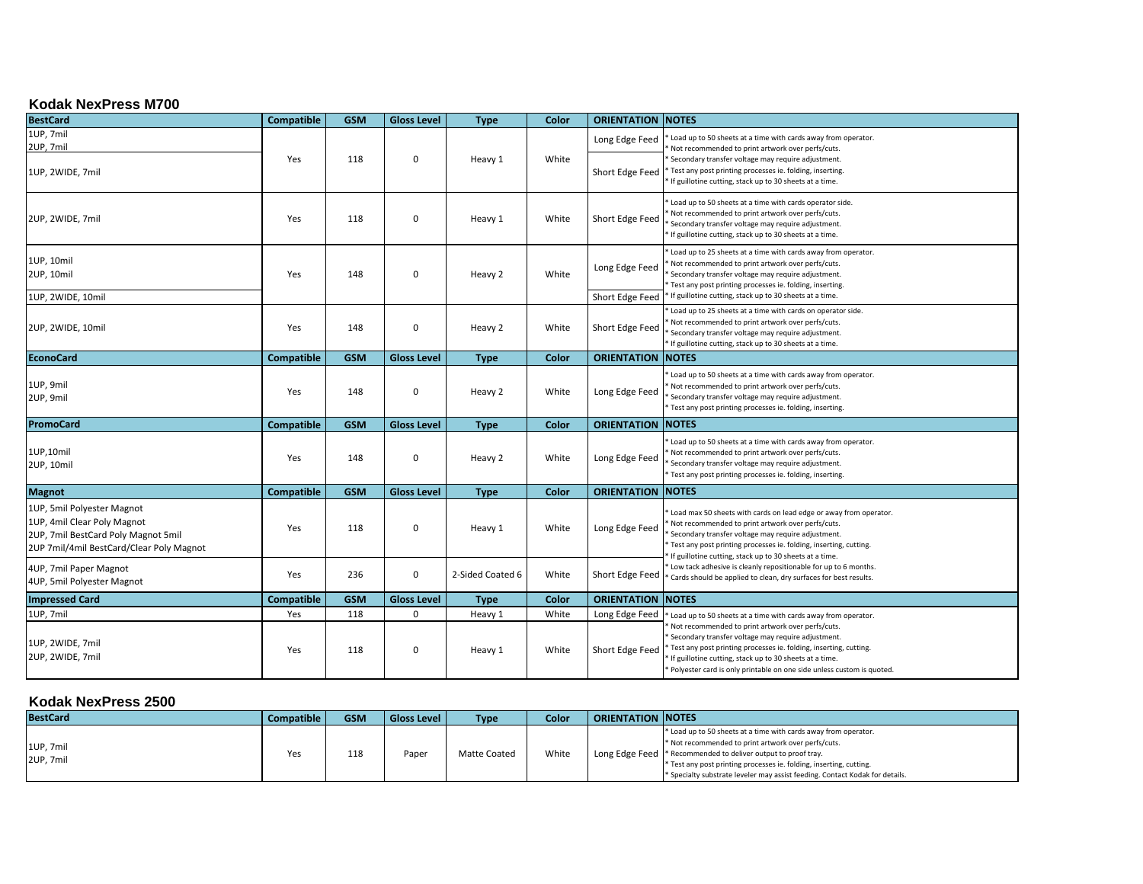## **Kodak NexPress M700**

| <b>BestCard</b>                                                                                                                              | Compatible        | <b>GSM</b> | <b>Gloss Level</b> | <b>Type</b>      | Color | <b>ORIENTATION NOTES</b> |                                                                                                                                                                                                                                                                                                                  |
|----------------------------------------------------------------------------------------------------------------------------------------------|-------------------|------------|--------------------|------------------|-------|--------------------------|------------------------------------------------------------------------------------------------------------------------------------------------------------------------------------------------------------------------------------------------------------------------------------------------------------------|
| 1UP, 7mil<br>2UP, 7mil                                                                                                                       | Yes               | 118        | $\mathbf 0$        | Heavy 1          | White | Long Edge Feed           | Load up to 50 sheets at a time with cards away from operator.<br>Not recommended to print artwork over perfs/cuts.<br>Secondary transfer voltage may require adjustment.                                                                                                                                         |
| 1UP, 2WIDE, 7mil                                                                                                                             |                   |            |                    |                  |       | Short Edge Feed          | Test any post printing processes ie. folding, inserting.<br>If guillotine cutting, stack up to 30 sheets at a time.                                                                                                                                                                                              |
| 2UP, 2WIDE, 7mil                                                                                                                             | Yes               | 118        | 0                  | Heavy 1          | White | Short Edge Feed          | Load up to 50 sheets at a time with cards operator side.<br>Not recommended to print artwork over perfs/cuts.<br>Secondary transfer voltage may require adjustment.<br>If guillotine cutting, stack up to 30 sheets at a time.                                                                                   |
| 1UP, 10mil<br>2UP, 10mil                                                                                                                     | Yes               | 148        | 0                  | Heavy 2          | White | Long Edge Feed           | Load up to 25 sheets at a time with cards away from operator.<br>Not recommended to print artwork over perfs/cuts.<br>Secondary transfer voltage may require adjustment.<br>Test any post printing processes ie. folding, inserting.                                                                             |
| 1UP, 2WIDE, 10mil                                                                                                                            |                   |            |                    |                  |       | Short Edge Feed          | If guillotine cutting, stack up to 30 sheets at a time.                                                                                                                                                                                                                                                          |
| 2UP, 2WIDE, 10mil                                                                                                                            | Yes               | 148        | 0                  | Heavy 2          | White | Short Edge Feed          | Load up to 25 sheets at a time with cards on operator side.<br>Not recommended to print artwork over perfs/cuts.<br>Secondary transfer voltage may require adjustment.<br>If guillotine cutting, stack up to 30 sheets at a time.                                                                                |
| <b>EconoCard</b>                                                                                                                             | Compatible        | <b>GSM</b> | <b>Gloss Level</b> | <b>Type</b>      | Color | <b>ORIENTATION NOTES</b> |                                                                                                                                                                                                                                                                                                                  |
| 1UP, 9mil<br>2UP, 9mil                                                                                                                       | Yes               | 148        | 0                  | Heavy 2          | White | Long Edge Feed           | Load up to 50 sheets at a time with cards away from operator.<br>Not recommended to print artwork over perfs/cuts.<br>Secondary transfer voltage may require adjustment.<br>Test any post printing processes ie. folding, inserting.                                                                             |
| <b>PromoCard</b>                                                                                                                             | Compatible        | <b>GSM</b> | <b>Gloss Level</b> | <b>Type</b>      | Color | <b>ORIENTATION NOTES</b> |                                                                                                                                                                                                                                                                                                                  |
| 1UP,10mil<br>2UP, 10mil                                                                                                                      | Yes               | 148        | 0                  | Heavy 2          | White | Long Edge Feed           | Load up to 50 sheets at a time with cards away from operator.<br>Not recommended to print artwork over perfs/cuts.<br>Secondary transfer voltage may require adjustment.<br>Test any post printing processes ie. folding, inserting.                                                                             |
| <b>Magnot</b>                                                                                                                                | <b>Compatible</b> | <b>GSM</b> | <b>Gloss Level</b> | <b>Type</b>      | Color | <b>ORIENTATION NOTES</b> |                                                                                                                                                                                                                                                                                                                  |
| 1UP, 5mil Polyester Magnot<br>1UP, 4mil Clear Poly Magnot<br>2UP, 7mil BestCard Poly Magnot 5mil<br>2UP 7mil/4mil BestCard/Clear Poly Magnot | Yes               | 118        | 0                  | Heavy 1          | White | Long Edge Feed           | Load max 50 sheets with cards on lead edge or away from operator.<br>Not recommended to print artwork over perfs/cuts.<br>Secondary transfer voltage may require adjustment.<br>Test any post printing processes ie. folding, inserting, cutting.<br>If guillotine cutting, stack up to 30 sheets at a time.     |
| 4UP, 7mil Paper Magnot<br>4UP, 5mil Polyester Magnot                                                                                         | Yes               | 236        | $\mathbf 0$        | 2-Sided Coated 6 | White | Short Edge Feed          | Low tack adhesive is cleanly repositionable for up to 6 months.<br>Cards should be applied to clean, dry surfaces for best results.                                                                                                                                                                              |
| <b>Impressed Card</b>                                                                                                                        | <b>Compatible</b> | <b>GSM</b> | <b>Gloss Level</b> | <b>Type</b>      | Color | <b>ORIENTATION NOTES</b> |                                                                                                                                                                                                                                                                                                                  |
| 1UP, 7mil                                                                                                                                    | Yes               | 118        | $\mathbf 0$        | Heavy 1          | White | Long Edge Feed           | Load up to 50 sheets at a time with cards away from operator.                                                                                                                                                                                                                                                    |
| 1UP, 2WIDE, 7mil<br>2UP, 2WIDE, 7mil                                                                                                         | Yes               | 118        | $\mathbf 0$        | Heavy 1          | White | Short Edge Feed          | Not recommended to print artwork over perfs/cuts.<br>Secondary transfer voltage may require adjustment.<br>Test any post printing processes ie. folding, inserting, cutting.<br>If guillotine cutting, stack up to 30 sheets at a time.<br>Polyester card is only printable on one side unless custom is quoted. |

## **Kodak NexPress 2500**

| <b>BestCard</b>        | Compatible | <b>GSM</b> | <b>Gloss Level</b> | <b>Type</b>  | Color | <b>ORIENTATION INOTES</b> |                                                                                                                                                                                                                                                                                                                                                 |
|------------------------|------------|------------|--------------------|--------------|-------|---------------------------|-------------------------------------------------------------------------------------------------------------------------------------------------------------------------------------------------------------------------------------------------------------------------------------------------------------------------------------------------|
| 1UP, 7mil<br>2UP, 7mil | Yes        | 118        | Paper              | Matte Coated | White |                           | * Load up to 50 sheets at a time with cards away from operator.<br>* Not recommended to print artwork over perfs/cuts.<br>Long Edge Feed  * Recommended to deliver output to proof tray.<br>* Test any post printing processes ie. folding, inserting, cutting.<br>* Specialty substrate leveler may assist feeding. Contact Kodak for details. |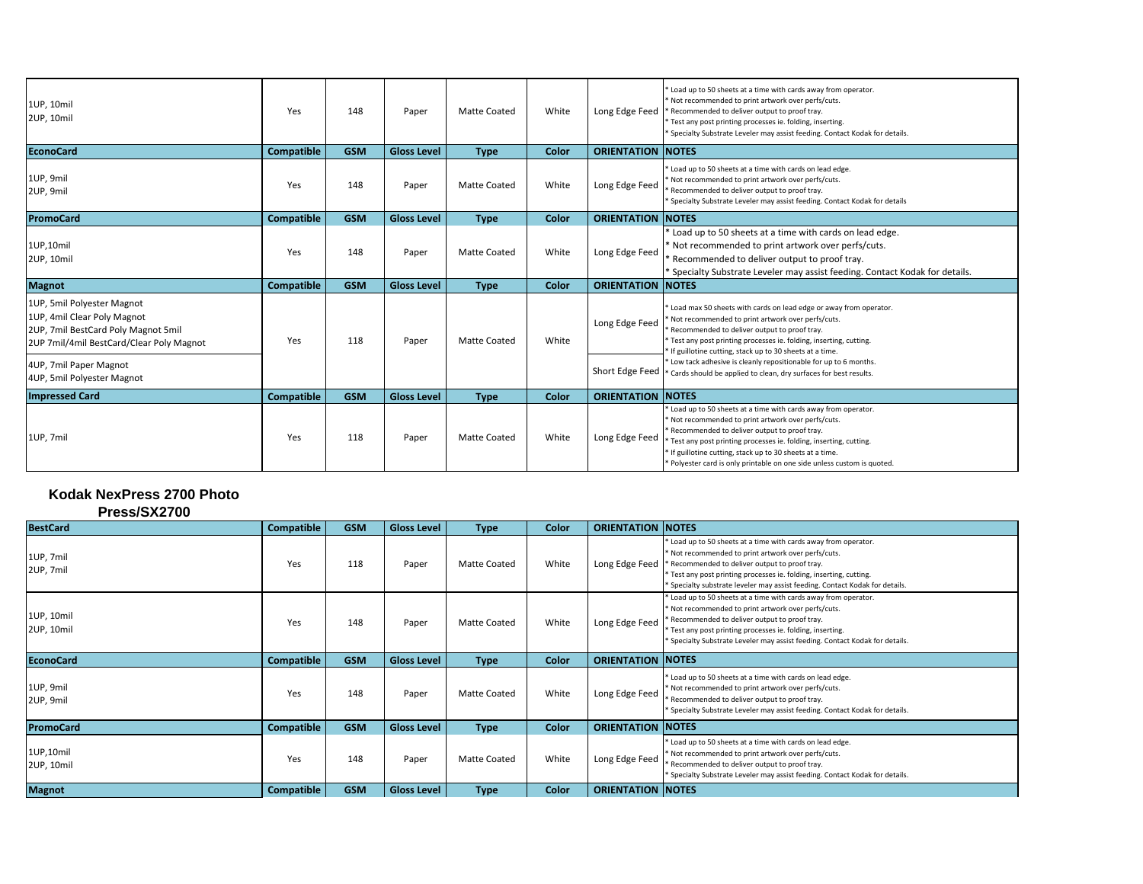| 1UP, 10mil<br>2UP, 10mil                                                                                                                     | Yes               | 148        | Paper              | <b>Matte Coated</b> | White | Long Edge Feed            | * Load up to 50 sheets at a time with cards away from operator.<br>Not recommended to print artwork over perfs/cuts.<br>Recommended to deliver output to proof tray.<br>Test any post printing processes ie. folding, inserting.<br>Specialty Substrate Leveler may assist feeding. Contact Kodak for details.                                                                |
|----------------------------------------------------------------------------------------------------------------------------------------------|-------------------|------------|--------------------|---------------------|-------|---------------------------|-------------------------------------------------------------------------------------------------------------------------------------------------------------------------------------------------------------------------------------------------------------------------------------------------------------------------------------------------------------------------------|
| <b>EconoCard</b>                                                                                                                             | <b>Compatible</b> | <b>GSM</b> | <b>Gloss Level</b> | <b>Type</b>         | Color | <b>ORIENTATION NOTES</b>  |                                                                                                                                                                                                                                                                                                                                                                               |
| 1UP, 9mil<br>2UP, 9mil                                                                                                                       | Yes               | 148        | Paper              | <b>Matte Coated</b> | White | Long Edge Feed            | * Load up to 50 sheets at a time with cards on lead edge.<br>Not recommended to print artwork over perfs/cuts.<br>Recommended to deliver output to proof tray.<br>Specialty Substrate Leveler may assist feeding. Contact Kodak for details                                                                                                                                   |
| <b>PromoCard</b>                                                                                                                             | <b>Compatible</b> | <b>GSM</b> | <b>Gloss Level</b> | <b>Type</b>         | Color | <b>ORIENTATION NOTES</b>  |                                                                                                                                                                                                                                                                                                                                                                               |
| 1UP,10mil<br>2UP, 10mil                                                                                                                      | Yes               | 148        | Paper              | <b>Matte Coated</b> | White | Long Edge Feed            | * Load up to 50 sheets at a time with cards on lead edge.<br>Not recommended to print artwork over perfs/cuts.<br>Recommended to deliver output to proof tray.<br><sup>*</sup> Specialty Substrate Leveler may assist feeding. Contact Kodak for details.                                                                                                                     |
| <b>Magnot</b>                                                                                                                                | Compatible        | <b>GSM</b> | <b>Gloss Level</b> | <b>Type</b>         | Color | <b>ORIENTATION INOTES</b> |                                                                                                                                                                                                                                                                                                                                                                               |
| 1UP, 5mil Polyester Magnot<br>1UP, 4mil Clear Poly Magnot<br>2UP, 7mil BestCard Poly Magnot 5mil<br>2UP 7mil/4mil BestCard/Clear Poly Magnot | Yes               | 118        | Paper              | <b>Matte Coated</b> | White | Long Edge Feed            | * Load max 50 sheets with cards on lead edge or away from operator.<br>Not recommended to print artwork over perfs/cuts.<br>Recommended to deliver output to proof tray.<br>Test any post printing processes ie. folding, inserting, cutting.<br>If guillotine cutting, stack up to 30 sheets at a time.                                                                      |
| 4UP, 7mil Paper Magnot<br>4UP, 5mil Polyester Magnot                                                                                         |                   |            |                    |                     |       | Short Edge Feed           | Low tack adhesive is cleanly repositionable for up to 6 months.<br>* Cards should be applied to clean, dry surfaces for best results.                                                                                                                                                                                                                                         |
| <b>Impressed Card</b>                                                                                                                        | <b>Compatible</b> | <b>GSM</b> | <b>Gloss Level</b> | <b>Type</b>         | Color | <b>ORIENTATION INOTES</b> |                                                                                                                                                                                                                                                                                                                                                                               |
| 1UP, 7mil                                                                                                                                    | Yes               | 118        | Paper              | <b>Matte Coated</b> | White | Long Edge Feed            | Load up to 50 sheets at a time with cards away from operator.<br>Not recommended to print artwork over perfs/cuts.<br>Recommended to deliver output to proof tray.<br>Test any post printing processes ie. folding, inserting, cutting.<br>If guillotine cutting, stack up to 30 sheets at a time.<br>* Polyester card is only printable on one side unless custom is quoted. |

## **Kodak NexPress 2700 Photo**

|  | Press/SX2700 |
|--|--------------|
|--|--------------|

| <b>BestCard</b>          | Compatible        | <b>GSM</b> | <b>Gloss Level</b> | <b>Type</b>         | Color | <b>ORIENTATION INOTES</b> |                                                                                                                                                                                                                                                                                                                               |
|--------------------------|-------------------|------------|--------------------|---------------------|-------|---------------------------|-------------------------------------------------------------------------------------------------------------------------------------------------------------------------------------------------------------------------------------------------------------------------------------------------------------------------------|
| 1UP, 7mil<br>2UP, 7mil   | Yes               | 118        | Paper              | Matte Coated        | White | Long Edge Feed            | Load up to 50 sheets at a time with cards away from operator.<br>* Not recommended to print artwork over perfs/cuts.<br>Recommended to deliver output to proof tray.<br>* Test any post printing processes ie. folding, inserting, cutting.<br>* Specialty substrate leveler may assist feeding. Contact Kodak for details.   |
| 1UP, 10mil<br>2UP, 10mil | Yes               | 148        | Paper              | <b>Matte Coated</b> | White | Long Edge Feed            | Load up to 50 sheets at a time with cards away from operator.<br>Not recommended to print artwork over perfs/cuts.<br>* Recommended to deliver output to proof tray.<br>* Test any post printing processes ie. folding, inserting.<br><sup>*</sup> Specialty Substrate Leveler may assist feeding. Contact Kodak for details. |
| <b>EconoCard</b>         | Compatible        | <b>GSM</b> | <b>Gloss Level</b> | <b>Type</b>         | Color | <b>ORIENTATION NOTES</b>  |                                                                                                                                                                                                                                                                                                                               |
| 1UP, 9mil<br>2UP, 9mil   | Yes               | 148        | Paper              | <b>Matte Coated</b> | White | Long Edge Feed            | * Load up to 50 sheets at a time with cards on lead edge.<br>* Not recommended to print artwork over perfs/cuts.<br>* Recommended to deliver output to proof tray.<br><sup>*</sup> Specialty Substrate Leveler may assist feeding. Contact Kodak for details.                                                                 |
| <b>PromoCard</b>         | <b>Compatible</b> | <b>GSM</b> | <b>Gloss Level</b> | <b>Type</b>         | Color | <b>ORIENTATION NOTES</b>  |                                                                                                                                                                                                                                                                                                                               |
| 1UP,10mil<br>2UP, 10mil  | Yes               | 148        | Paper              | Matte Coated        | White | Long Edge Feed            | * Load up to 50 sheets at a time with cards on lead edge.<br>Not recommended to print artwork over perfs/cuts.<br>Recommended to deliver output to proof tray.<br><sup>*</sup> Specialty Substrate Leveler may assist feeding. Contact Kodak for details.                                                                     |
| <b>Magnot</b>            | Compatible        | <b>GSM</b> | <b>Gloss Level</b> | <b>Type</b>         | Color | <b>ORIENTATION NOTES</b>  |                                                                                                                                                                                                                                                                                                                               |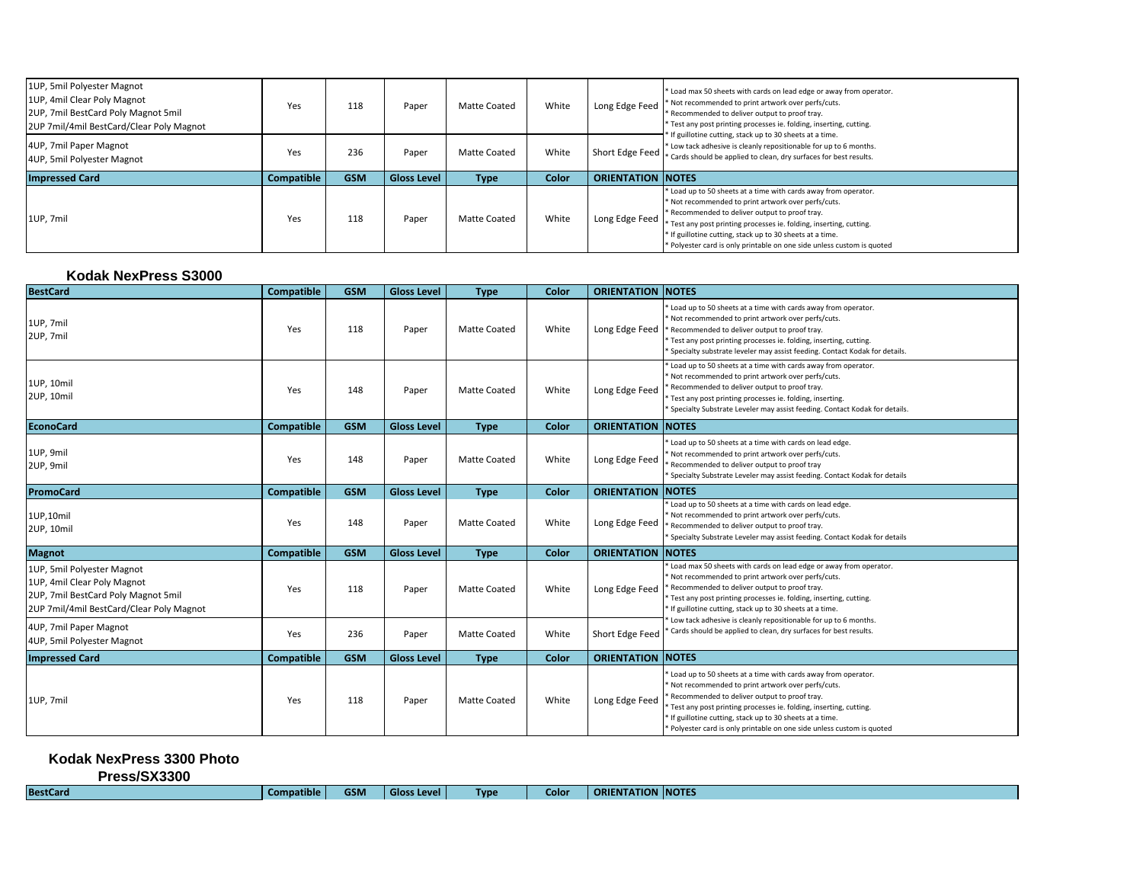| 1UP, 5mil Polyester Magnot<br>1UP, 4mil Clear Poly Magnot<br>2UP, 7mil BestCard Poly Magnot 5mil<br>2UP 7mil/4mil BestCard/Clear Poly Magnot | Yes               | 118        | Paper              | Matte Coated | White | Long Edge Feed            | * Load max 50 sheets with cards on lead edge or away from operator.<br>* Not recommended to print artwork over perfs/cuts.<br>* Recommended to deliver output to proof tray.<br>* Test any post printing processes ie. folding, inserting, cutting.<br>If guillotine cutting, stack up to 30 sheets at a time.<br>* Low tack adhesive is cleanly repositionable for up to 6 months.<br>Short Edge Feed $\left  \ast \right\rangle$ Cards should be applied to clean, dry surfaces for best results. |
|----------------------------------------------------------------------------------------------------------------------------------------------|-------------------|------------|--------------------|--------------|-------|---------------------------|-----------------------------------------------------------------------------------------------------------------------------------------------------------------------------------------------------------------------------------------------------------------------------------------------------------------------------------------------------------------------------------------------------------------------------------------------------------------------------------------------------|
| 4UP, 7mil Paper Magnot<br>4UP, 5mil Polyester Magnot                                                                                         | Yes               | 236        | Paper              | Matte Coated | White |                           |                                                                                                                                                                                                                                                                                                                                                                                                                                                                                                     |
| <b>Impressed Card</b>                                                                                                                        | <b>Compatible</b> | <b>GSM</b> | <b>Gloss Level</b> | <b>Type</b>  | Color | <b>ORIENTATION INOTES</b> |                                                                                                                                                                                                                                                                                                                                                                                                                                                                                                     |
| 1UP, 7mil                                                                                                                                    | Yes               | 118        | Paper              | Matte Coated | White | Long Edge Feed            | * Load up to 50 sheets at a time with cards away from operator.<br>* Not recommended to print artwork over perfs/cuts.<br>* Recommended to deliver output to proof tray.<br>* Test any post printing processes ie. folding, inserting, cutting.<br>* If guillotine cutting, stack up to 30 sheets at a time.<br>* Polyester card is only printable on one side unless custom is quoted                                                                                                              |

| Kodak NexPress S3000                                                                                                                         |                   |            |                    |                     |       |                          |                                                                                                                                                                                                                                                                                                                                                                                |
|----------------------------------------------------------------------------------------------------------------------------------------------|-------------------|------------|--------------------|---------------------|-------|--------------------------|--------------------------------------------------------------------------------------------------------------------------------------------------------------------------------------------------------------------------------------------------------------------------------------------------------------------------------------------------------------------------------|
| <b>BestCard</b>                                                                                                                              | Compatible        | <b>GSM</b> | <b>Gloss Level</b> | <b>Type</b>         | Color | <b>ORIENTATION NOTES</b> |                                                                                                                                                                                                                                                                                                                                                                                |
| 1UP, 7mil<br>2UP, 7mil                                                                                                                       | Yes               | 118        | Paper              | <b>Matte Coated</b> | White | Long Edge Feed           | * Load up to 50 sheets at a time with cards away from operator.<br>Not recommended to print artwork over perfs/cuts.<br>Recommended to deliver output to proof tray.<br>Test any post printing processes ie. folding, inserting, cutting.<br>Specialty substrate leveler may assist feeding. Contact Kodak for details.                                                        |
| 1UP, 10mil<br>2UP, 10mil                                                                                                                     | Yes               | 148        | Paper              | Matte Coated        | White | Long Edge Feed           | Load up to 50 sheets at a time with cards away from operator.<br>Not recommended to print artwork over perfs/cuts.<br>Recommended to deliver output to proof tray.<br>Test any post printing processes ie. folding, inserting.<br>Specialty Substrate Leveler may assist feeding. Contact Kodak for details.                                                                   |
| <b>EconoCard</b>                                                                                                                             | <b>Compatible</b> | <b>GSM</b> | <b>Gloss Level</b> | <b>Type</b>         | Color | <b>ORIENTATION NOTES</b> |                                                                                                                                                                                                                                                                                                                                                                                |
| 1UP, 9mil<br>2UP, 9mil                                                                                                                       | Yes               | 148        | Paper              | <b>Matte Coated</b> | White | Long Edge Feed           | Load up to 50 sheets at a time with cards on lead edge.<br>Not recommended to print artwork over perfs/cuts.<br>Recommended to deliver output to proof tray<br>Specialty Substrate Leveler may assist feeding. Contact Kodak for details                                                                                                                                       |
| <b>PromoCard</b>                                                                                                                             | <b>Compatible</b> | <b>GSM</b> | <b>Gloss Level</b> | <b>Type</b>         | Color | <b>ORIENTATION</b>       | <b>INOTES</b>                                                                                                                                                                                                                                                                                                                                                                  |
| 1UP,10mil<br>2UP, 10mil                                                                                                                      | Yes               | 148        | Paper              | <b>Matte Coated</b> | White | Long Edge Feed           | Load up to 50 sheets at a time with cards on lead edge.<br>Not recommended to print artwork over perfs/cuts.<br>Recommended to deliver output to proof tray.<br>Specialty Substrate Leveler may assist feeding. Contact Kodak for details                                                                                                                                      |
| <b>Magnot</b>                                                                                                                                | <b>Compatible</b> | <b>GSM</b> | <b>Gloss Level</b> | <b>Type</b>         | Color | <b>ORIENTATION NOTES</b> |                                                                                                                                                                                                                                                                                                                                                                                |
| 1UP, 5mil Polyester Magnot<br>1UP, 4mil Clear Poly Magnot<br>2UP, 7mil BestCard Poly Magnot 5mil<br>2UP 7mil/4mil BestCard/Clear Poly Magnot | Yes               | 118        | Paper              | <b>Matte Coated</b> | White | Long Edge Feed           | Load max 50 sheets with cards on lead edge or away from operator.<br>Not recommended to print artwork over perfs/cuts.<br>* Recommended to deliver output to proof tray.<br>Test any post printing processes ie. folding, inserting, cutting.<br>* If guillotine cutting, stack up to 30 sheets at a time.                                                                     |
| 4UP, 7mil Paper Magnot<br>4UP, 5mil Polyester Magnot                                                                                         | Yes               | 236        | Paper              | <b>Matte Coated</b> | White | Short Edge Feed          | Low tack adhesive is cleanly repositionable for up to 6 months.<br>Cards should be applied to clean, dry surfaces for best results.                                                                                                                                                                                                                                            |
| <b>Impressed Card</b>                                                                                                                        | <b>Compatible</b> | <b>GSM</b> | <b>Gloss Level</b> | <b>Type</b>         | Color | <b>ORIENTATION NOTES</b> |                                                                                                                                                                                                                                                                                                                                                                                |
| 1UP, 7mil                                                                                                                                    | Yes               | 118        | Paper              | Matte Coated        | White | Long Edge Feed           | Load up to 50 sheets at a time with cards away from operator.<br>Not recommended to print artwork over perfs/cuts.<br>Recommended to deliver output to proof tray.<br>Test any post printing processes ie. folding, inserting, cutting.<br>* If guillotine cutting, stack up to 30 sheets at a time.<br>* Polyester card is only printable on one side unless custom is quoted |

**Kodak NexPress 3300 Photo** 

**Press/SX3300**

| <b>BestCard</b> | <b>Compatible</b> |
|-----------------|-------------------|
|-----------------|-------------------|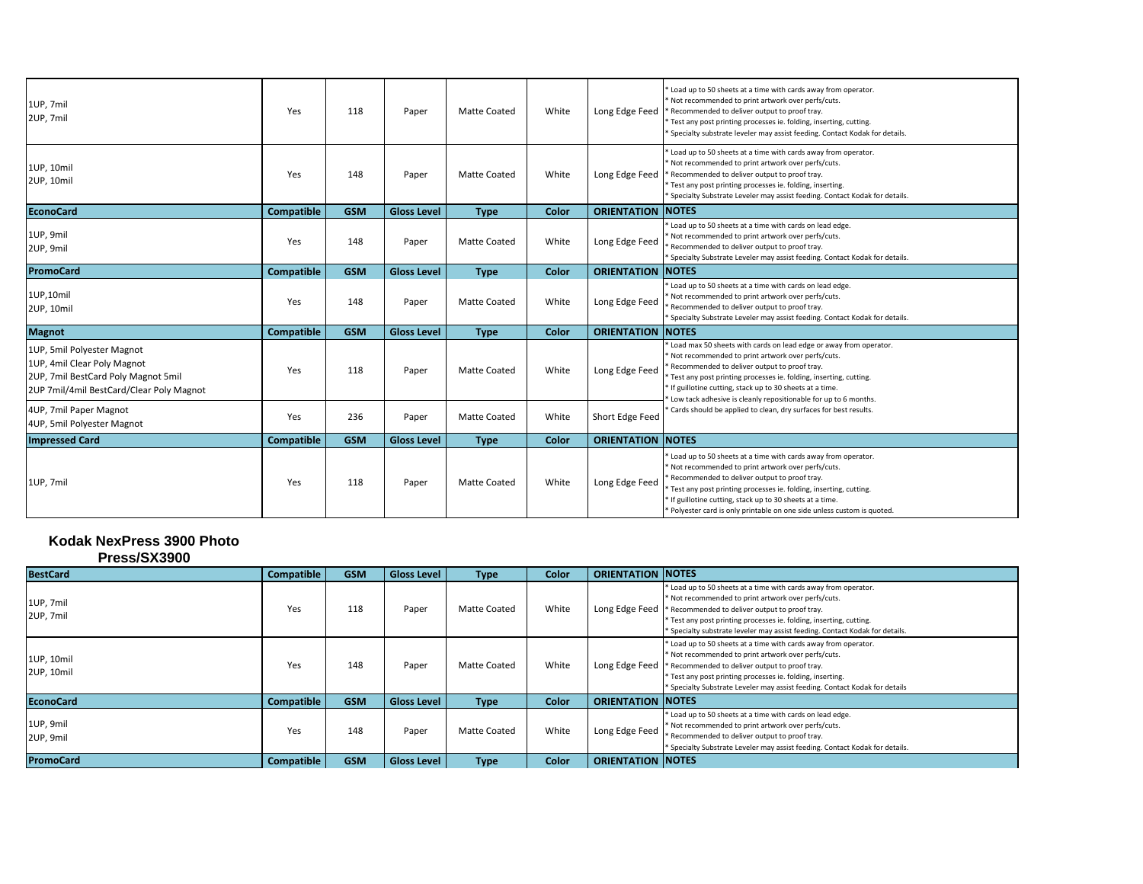| 1UP, 7mil<br>2UP, 7mil                                                                                                                       | Yes               | 118        | Paper              | <b>Matte Coated</b> | White | Long Edge Feed            | * Load up to 50 sheets at a time with cards away from operator.<br>* Not recommended to print artwork over perfs/cuts.<br>* Recommended to deliver output to proof tray.<br>Test any post printing processes ie. folding, inserting, cutting.<br>Specialty substrate leveler may assist feeding. Contact Kodak for details.                                                   |
|----------------------------------------------------------------------------------------------------------------------------------------------|-------------------|------------|--------------------|---------------------|-------|---------------------------|-------------------------------------------------------------------------------------------------------------------------------------------------------------------------------------------------------------------------------------------------------------------------------------------------------------------------------------------------------------------------------|
| 1UP, 10mil<br>2UP, 10mil                                                                                                                     | Yes               | 148        | Paper              | <b>Matte Coated</b> | White | Long Edge Feed            | Load up to 50 sheets at a time with cards away from operator.<br>Not recommended to print artwork over perfs/cuts.<br>Recommended to deliver output to proof tray.<br>* Test any post printing processes ie. folding, inserting.<br><sup>*</sup> Specialty Substrate Leveler may assist feeding. Contact Kodak for details.                                                   |
| <b>EconoCard</b>                                                                                                                             | Compatible        | <b>GSM</b> | <b>Gloss Level</b> | <b>Type</b>         | Color | <b>ORIENTATION NOTES</b>  |                                                                                                                                                                                                                                                                                                                                                                               |
| 1UP, 9mil<br>2UP, 9mil                                                                                                                       | Yes               | 148        | Paper              | <b>Matte Coated</b> | White | Long Edge Feed            | Load up to 50 sheets at a time with cards on lead edge.<br>Not recommended to print artwork over perfs/cuts.<br>Recommended to deliver output to proof tray.<br><sup>*</sup> Specialty Substrate Leveler may assist feeding. Contact Kodak for details.                                                                                                                       |
| <b>PromoCard</b>                                                                                                                             | Compatible        | <b>GSM</b> | <b>Gloss Level</b> | <b>Type</b>         | Color | <b>ORIENTATION INOTES</b> |                                                                                                                                                                                                                                                                                                                                                                               |
| 1UP,10mil<br>2UP, 10mil                                                                                                                      | Yes               | 148        | Paper              | <b>Matte Coated</b> | White | Long Edge Feed            | Load up to 50 sheets at a time with cards on lead edge.<br>Not recommended to print artwork over perfs/cuts.<br>Recommended to deliver output to proof tray.<br>Specialty Substrate Leveler may assist feeding. Contact Kodak for details.                                                                                                                                    |
| <b>Magnot</b>                                                                                                                                | <b>Compatible</b> | <b>GSM</b> | <b>Gloss Level</b> | <b>Type</b>         | Color | <b>ORIENTATION NOTES</b>  |                                                                                                                                                                                                                                                                                                                                                                               |
| 1UP, 5mil Polyester Magnot<br>1UP, 4mil Clear Poly Magnot<br>2UP, 7mil BestCard Poly Magnot 5mil<br>2UP 7mil/4mil BestCard/Clear Poly Magnot | Yes               | 118        | Paper              | <b>Matte Coated</b> | White | Long Edge Feed            | Load max 50 sheets with cards on lead edge or away from operator.<br>Not recommended to print artwork over perfs/cuts.<br>Recommended to deliver output to proof tray.<br>Test any post printing processes ie. folding, inserting, cutting.<br>* If guillotine cutting, stack up to 30 sheets at a time.<br>Low tack adhesive is cleanly repositionable for up to 6 months.   |
| 4UP, 7mil Paper Magnot<br>4UP, 5mil Polyester Magnot                                                                                         | Yes               | 236        | Paper              | Matte Coated        | White | Short Edge Feed           | ' Cards should be applied to clean, dry surfaces for best results.                                                                                                                                                                                                                                                                                                            |
| <b>Impressed Card</b>                                                                                                                        | <b>Compatible</b> | <b>GSM</b> | <b>Gloss Level</b> | <b>Type</b>         | Color | <b>ORIENTATION NOTES</b>  |                                                                                                                                                                                                                                                                                                                                                                               |
| 1UP, 7mil                                                                                                                                    | Yes               | 118        | Paper              | <b>Matte Coated</b> | White | Long Edge Feed            | Load up to 50 sheets at a time with cards away from operator.<br>Not recommended to print artwork over perfs/cuts.<br>Recommended to deliver output to proof tray.<br>Test any post printing processes ie. folding, inserting, cutting.<br>* If guillotine cutting, stack up to 30 sheets at a time.<br>Polyester card is only printable on one side unless custom is quoted. |

## **Kodak NexPress 3900 Photo**

| Press/SX3900             |                   |            |                    |              |       |                           |                                                                                                                                                                                                                                                                                                                         |
|--------------------------|-------------------|------------|--------------------|--------------|-------|---------------------------|-------------------------------------------------------------------------------------------------------------------------------------------------------------------------------------------------------------------------------------------------------------------------------------------------------------------------|
| <b>BestCard</b>          | Compatible        | <b>GSM</b> | <b>Gloss Level</b> | <b>Type</b>  | Color | <b>ORIENTATION NOTES</b>  |                                                                                                                                                                                                                                                                                                                         |
| 1UP, 7mil<br>2UP, 7mil   | Yes               | 118        | Paper              | Matte Coated | White | Long Edge Feed            | Load up to 50 sheets at a time with cards away from operator.<br>Not recommended to print artwork over perfs/cuts.<br>* Recommended to deliver output to proof tray.<br>Test any post printing processes ie. folding, inserting, cutting.<br>Specialty substrate leveler may assist feeding. Contact Kodak for details. |
| 1UP, 10mil<br>2UP, 10mil | Yes               | 148        | Paper              | Matte Coated | White | Long Edge Feed            | Load up to 50 sheets at a time with cards away from operator.<br>Not recommended to print artwork over perfs/cuts.<br>Recommended to deliver output to proof tray.<br>Test any post printing processes ie. folding, inserting.<br>Specialty Substrate Leveler may assist feeding. Contact Kodak for details             |
| <b>EconoCard</b>         | <b>Compatible</b> | <b>GSM</b> | <b>Gloss Level</b> | <b>Type</b>  | Color | <b>ORIENTATION INOTES</b> |                                                                                                                                                                                                                                                                                                                         |
| 1UP, 9mil<br>2UP, 9mil   | Yes               | 148        | Paper              | Matte Coated | White | Long Edge Feed            | Load up to 50 sheets at a time with cards on lead edge.<br>Not recommended to print artwork over perfs/cuts.<br>Recommended to deliver output to proof tray.<br>* Specialty Substrate Leveler may assist feeding. Contact Kodak for details.                                                                            |
| <b>PromoCard</b>         | <b>Compatible</b> | <b>GSM</b> | <b>Gloss Level</b> | <b>Type</b>  | Color | <b>ORIENTATION INOTES</b> |                                                                                                                                                                                                                                                                                                                         |